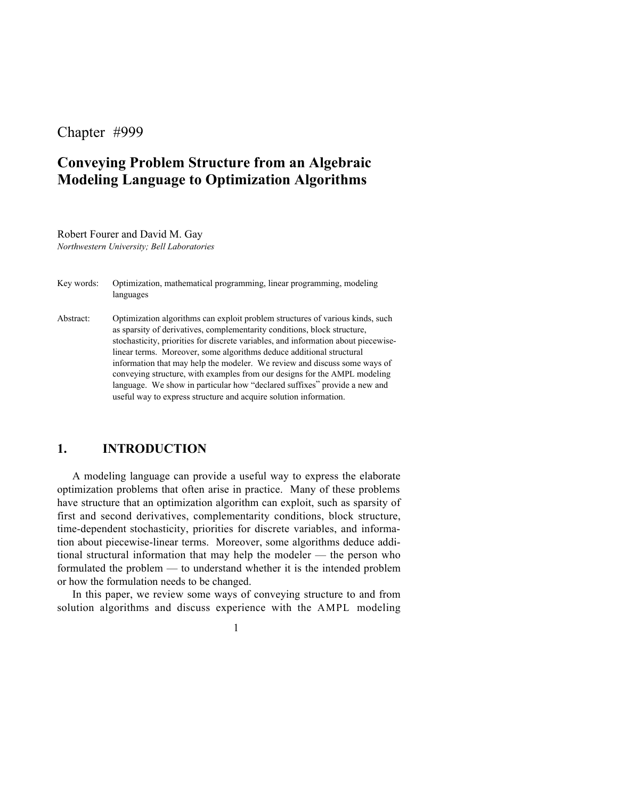Chapter #999

# **Conveying Problem Structure from an Algebraic Modeling Language to Optimization Algorithms**

Robert Fourer and David M. Gay *Northwestern University; Bell Laboratories*

| Key words: | Optimization, mathematical programming, linear programming, modeling<br>languages                                                                                                                                                                                                                                                                                                                                                                                                                                                                                                                                                   |
|------------|-------------------------------------------------------------------------------------------------------------------------------------------------------------------------------------------------------------------------------------------------------------------------------------------------------------------------------------------------------------------------------------------------------------------------------------------------------------------------------------------------------------------------------------------------------------------------------------------------------------------------------------|
| Abstract:  | Optimization algorithms can exploit problem structures of various kinds, such<br>as sparsity of derivatives, complementarity conditions, block structure,<br>stochasticity, priorities for discrete variables, and information about piecewise-<br>linear terms. Moreover, some algorithms deduce additional structural<br>information that may help the modeler. We review and discuss some ways of<br>conveying structure, with examples from our designs for the AMPL modeling<br>language. We show in particular how "declared suffixes" provide a new and<br>useful way to express structure and acquire solution information. |

# **1. INTRODUCTION**

A modeling language can provide a useful way to express the elaborate optimization problems that often arise in practice. Many of these problems have structure that an optimization algorithm can exploit, such as sparsity of first and second derivatives, complementarity conditions, block structure, time-dependent stochasticity, priorities for discrete variables, and information about piecewise-linear terms. Moreover, some algorithms deduce additional structural information that may help the modeler — the person who formulated the problem — to understand whether it is the intended problem or how the formulation needs to be changed.

In this paper, we review some ways of conveying structure to and from solution algorithms and discuss experience with the AMPL modeling

1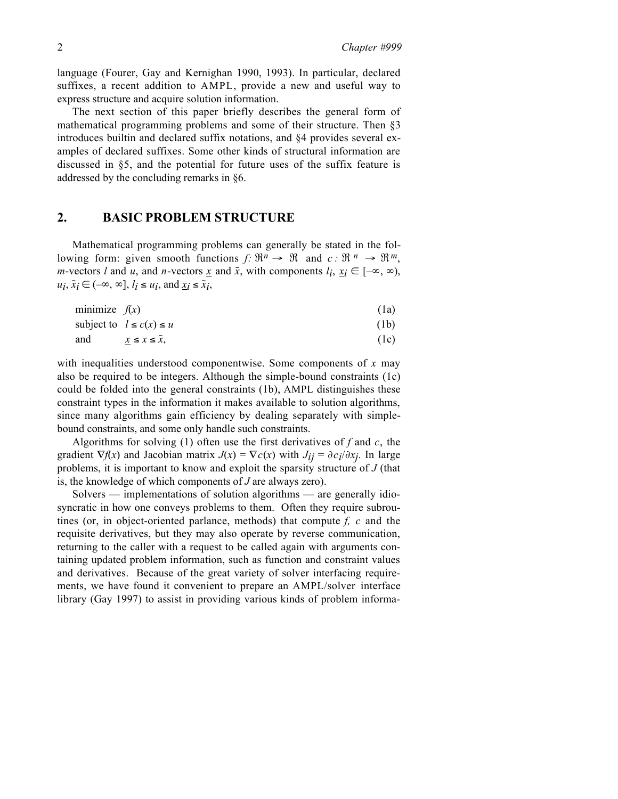language (Fourer, Gay and Kernighan 1990, 1993). In particular, declared suffixes, a recent addition to AMPL, provide a new and useful way to express structure and acquire solution information.

The next section of this paper briefly describes the general form of mathematical programming problems and some of their structure. Then §3 introduces builtin and declared suffix notations, and §4 provides several examples of declared suffixes. Some other kinds of structural information are discussed in §5, and the potential for future uses of the suffix feature is addressed by the concluding remarks in §6.

## **2. BASIC PROBLEM STRUCTURE**

Mathematical programming problems can generally be stated in the following form: given smooth functions  $f: \mathbb{R}^n \to \mathbb{R}$  and  $c: \mathbb{R}^n \to \mathbb{R}^m$ , *m*-vectors *l* and *u*, and *n*-vectors <u>*x*</u> and  $\bar{x}$ , with components  $l_i$ ,  $x_i \in [-\infty, \infty)$ ,  $u_i$ ,  $\bar{x}_i \in (-\infty, \infty]$ ,  $l_i \leq u_i$ , and  $\underline{x}_i \leq \bar{x}_i$ ,

| minimize $f(x)$ |  |  |
|-----------------|--|--|
|                 |  |  |

| subject to $l \le c(x) \le u$ | (1b) |  |
|-------------------------------|------|--|

and  $x \le x \le \bar{x}$ , (1c)

with inequalities understood componentwise. Some components of *x* may also be required to be integers. Although the simple-bound constraints (1c) could be folded into the general constraints (1b), AMPL distinguishes these constraint types in the information it makes available to solution algorithms, since many algorithms gain efficiency by dealing separately with simplebound constraints, and some only handle such constraints.

Algorithms for solving (1) often use the first derivatives of *f* and *c*, the gradient  $\nabla f(x)$  and Jacobian matrix  $J(x) = \nabla c(x)$  with  $J_{ij} = \frac{\partial c_i}{\partial x_j}$ . In large problems, it is important to know and exploit the sparsity structure of *J* (that is, the knowledge of which components of *J* are always zero).

Solvers — implementations of solution algorithms — are generally idiosyncratic in how one conveys problems to them. Often they require subroutines (or, in object-oriented parlance, methods) that compute *f, c* and the requisite derivatives, but they may also operate by reverse communication, returning to the caller with a request to be called again with arguments containing updated problem information, such as function and constraint values and derivatives. Because of the great variety of solver interfacing requirements, we have found it convenient to prepare an AMPL/solver interface library (Gay 1997) to assist in providing various kinds of problem informa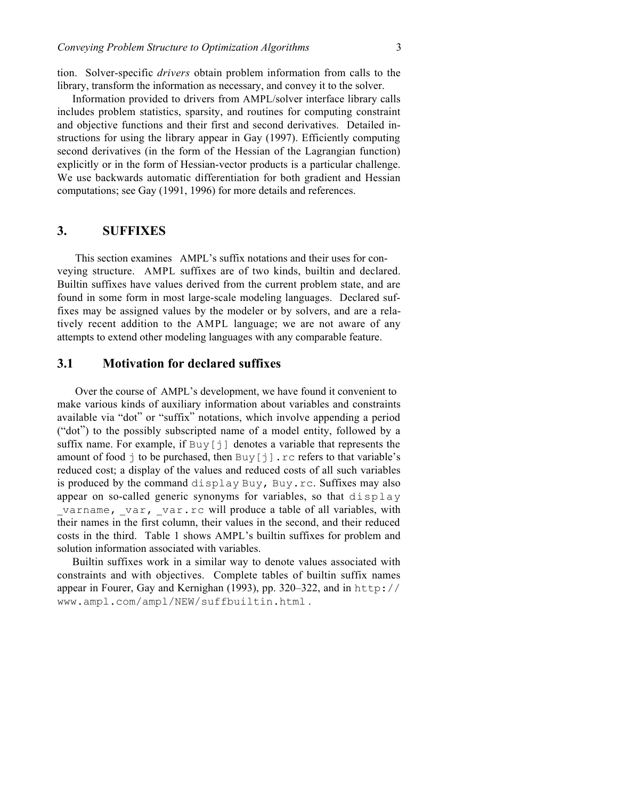tion. Solver-specific *drivers* obtain problem information from calls to the library, transform the information as necessary, and convey it to the solver.

Information provided to drivers from AMPL/solver interface library calls includes problem statistics, sparsity, and routines for computing constraint and objective functions and their first and second derivatives. Detailed instructions for using the library appear in Gay (1997). Efficiently computing second derivatives (in the form of the Hessian of the Lagrangian function) explicitly or in the form of Hessian-vector products is a particular challenge. We use backwards automatic differentiation for both gradient and Hessian computations; see Gay (1991, 1996) for more details and references.

# **3. SUFFIXES**

 This section examines AMPL's suffix notations and their uses for conveying structure. AMPL suffixes are of two kinds, builtin and declared. Builtin suffixes have values derived from the current problem state, and are found in some form in most large-scale modeling languages. Declared suffixes may be assigned values by the modeler or by solvers, and are a relatively recent addition to the AMPL language; we are not aware of any attempts to extend other modeling languages with any comparable feature.

# **3.1 Motivation for declared suffixes**

 Over the course of AMPL's development, we have found it convenient to make various kinds of auxiliary information about variables and constraints available via "dot" or "suffix" notations, which involve appending a period ("dot") to the possibly subscripted name of a model entity, followed by a suffix name. For example, if  $Buy[j]$  denotes a variable that represents the amount of food  $\dot{\uparrow}$  to be purchased, then Buy [ $\dot{\uparrow}$ ]. rc refers to that variable's reduced cost; a display of the values and reduced costs of all such variables is produced by the command display Buy, Buy.rc. Suffixes may also appear on so-called generic synonyms for variables, so that display \_varname, \_var, \_var.rc will produce a table of all variables, with their names in the first column, their values in the second, and their reduced costs in the third. Table 1 shows AMPL's builtin suffixes for problem and solution information associated with variables.

Builtin suffixes work in a similar way to denote values associated with constraints and with objectives. Complete tables of builtin suffix names appear in Fourer, Gay and Kernighan (1993), pp. 320–322, and in http:// www.ampl.com/ampl/NEW/suffbuiltin.html .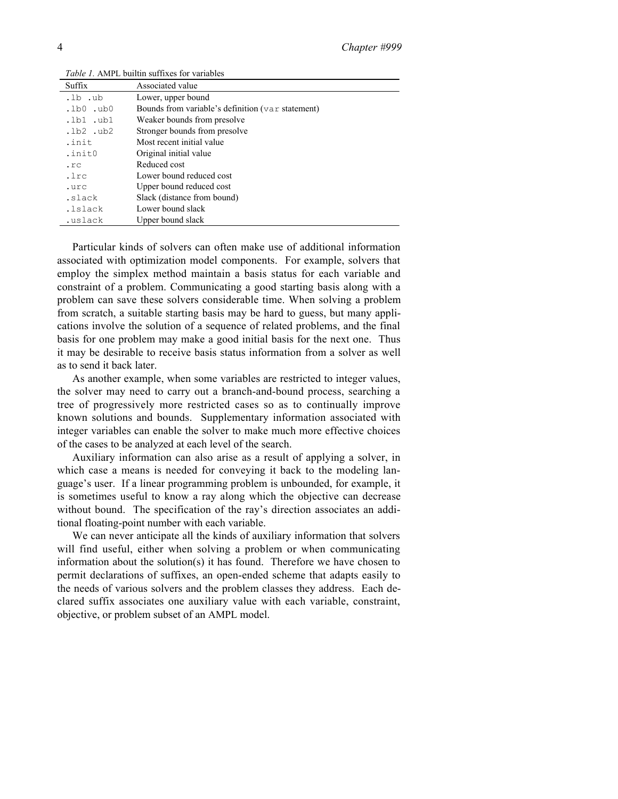| Suffix          | Associated value                                  |
|-----------------|---------------------------------------------------|
| $.lb$ $.lb$     | Lower, upper bound                                |
| . $1b0$<br>ub0. | Bounds from variable's definition (var statement) |
| $.lb1$ $ub1$    | Weaker bounds from presolve                       |
| .1b2 .ub2       | Stronger bounds from presolve                     |
| .init           | Most recent initial value                         |
| .init0          | Original initial value                            |
| $rac{r}{r}$     | Reduced cost                                      |
| $.\n $ rc       | Lower bound reduced cost                          |
| .urc            | Upper bound reduced cost                          |
| .slack          | Slack (distance from bound)                       |
| .lslack         | Lower bound slack                                 |
| .uslack         | Upper bound slack                                 |

*Table 1.* AMPL builtin suffixes for variables

Particular kinds of solvers can often make use of additional information associated with optimization model components. For example, solvers that employ the simplex method maintain a basis status for each variable and constraint of a problem. Communicating a good starting basis along with a problem can save these solvers considerable time. When solving a problem from scratch, a suitable starting basis may be hard to guess, but many applications involve the solution of a sequence of related problems, and the final basis for one problem may make a good initial basis for the next one. Thus it may be desirable to receive basis status information from a solver as well as to send it back later.

As another example, when some variables are restricted to integer values, the solver may need to carry out a branch-and-bound process, searching a tree of progressively more restricted cases so as to continually improve known solutions and bounds. Supplementary information associated with integer variables can enable the solver to make much more effective choices of the cases to be analyzed at each level of the search.

Auxiliary information can also arise as a result of applying a solver, in which case a means is needed for conveying it back to the modeling language's user. If a linear programming problem is unbounded, for example, it is sometimes useful to know a ray along which the objective can decrease without bound. The specification of the ray's direction associates an additional floating-point number with each variable.

We can never anticipate all the kinds of auxiliary information that solvers will find useful, either when solving a problem or when communicating information about the solution(s) it has found. Therefore we have chosen to permit declarations of suffixes, an open-ended scheme that adapts easily to the needs of various solvers and the problem classes they address. Each declared suffix associates one auxiliary value with each variable, constraint, objective, or problem subset of an AMPL model.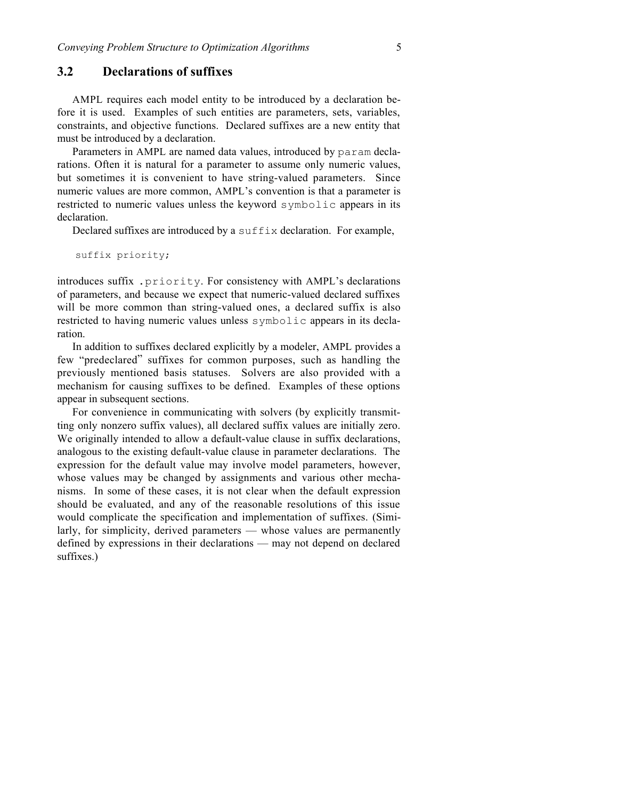## **3.2 Declarations of suffixes**

AMPL requires each model entity to be introduced by a declaration before it is used. Examples of such entities are parameters, sets, variables, constraints, and objective functions. Declared suffixes are a new entity that must be introduced by a declaration.

Parameters in AMPL are named data values, introduced by param declarations. Often it is natural for a parameter to assume only numeric values, but sometimes it is convenient to have string-valued parameters. Since numeric values are more common, AMPL's convention is that a parameter is restricted to numeric values unless the keyword symbolic appears in its declaration.

Declared suffixes are introduced by a suffix declaration. For example,

suffix priority;

introduces suffix .priority. For consistency with AMPL's declarations of parameters, and because we expect that numeric-valued declared suffixes will be more common than string-valued ones, a declared suffix is also restricted to having numeric values unless symbolic appears in its declaration.

In addition to suffixes declared explicitly by a modeler, AMPL provides a few "predeclared" suffixes for common purposes, such as handling the previously mentioned basis statuses. Solvers are also provided with a mechanism for causing suffixes to be defined. Examples of these options appear in subsequent sections.

For convenience in communicating with solvers (by explicitly transmitting only nonzero suffix values), all declared suffix values are initially zero. We originally intended to allow a default-value clause in suffix declarations, analogous to the existing default-value clause in parameter declarations. The expression for the default value may involve model parameters, however, whose values may be changed by assignments and various other mechanisms. In some of these cases, it is not clear when the default expression should be evaluated, and any of the reasonable resolutions of this issue would complicate the specification and implementation of suffixes. (Similarly, for simplicity, derived parameters — whose values are permanently defined by expressions in their declarations — may not depend on declared suffixes.)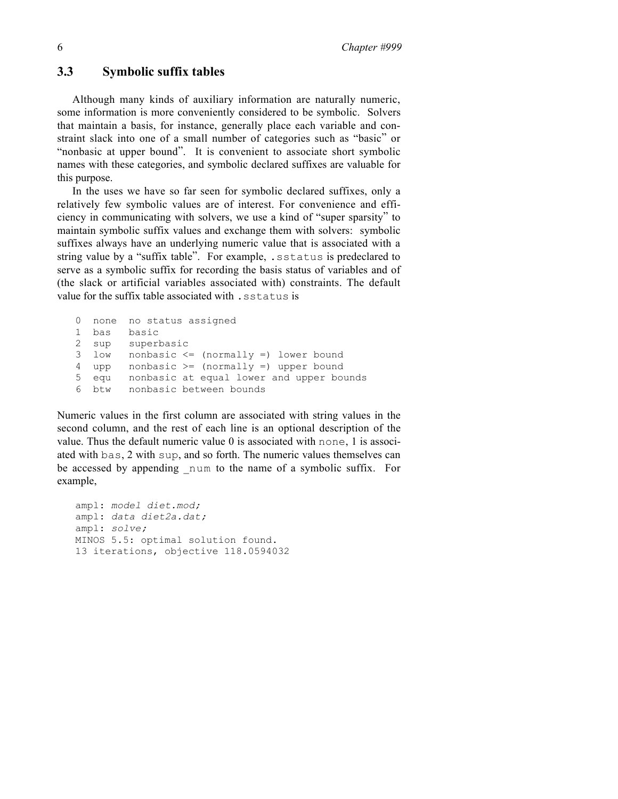#### **3.3 Symbolic suffix tables**

Although many kinds of auxiliary information are naturally numeric, some information is more conveniently considered to be symbolic. Solvers that maintain a basis, for instance, generally place each variable and constraint slack into one of a small number of categories such as "basic" or "nonbasic at upper bound". It is convenient to associate short symbolic names with these categories, and symbolic declared suffixes are valuable for this purpose.

In the uses we have so far seen for symbolic declared suffixes, only a relatively few symbolic values are of interest. For convenience and efficiency in communicating with solvers, we use a kind of "super sparsity" to maintain symbolic suffix values and exchange them with solvers: symbolic suffixes always have an underlying numeric value that is associated with a string value by a "suffix table". For example, .sstatus is predeclared to serve as a symbolic suffix for recording the basis status of variables and of (the slack or artificial variables associated with) constraints. The default value for the suffix table associated with . sstatus is

```
0 none no status assigned
1 bas basic
2 sup superbasic
3 low nonbasic <= (normally =) lower bound
4 upp nonbasic >= (normally =) upper bound
5 equ nonbasic at equal lower and upper bounds
6 btw nonbasic between bounds
```
Numeric values in the first column are associated with string values in the second column, and the rest of each line is an optional description of the value. Thus the default numeric value 0 is associated with none, 1 is associated with bas, 2 with sup, and so forth. The numeric values themselves can be accessed by appending num to the name of a symbolic suffix. For example,

```
ampl: model diet.mod;
ampl: data diet2a.dat;
ampl: solve;
MINOS 5.5: optimal solution found.
13 iterations, objective 118.0594032
```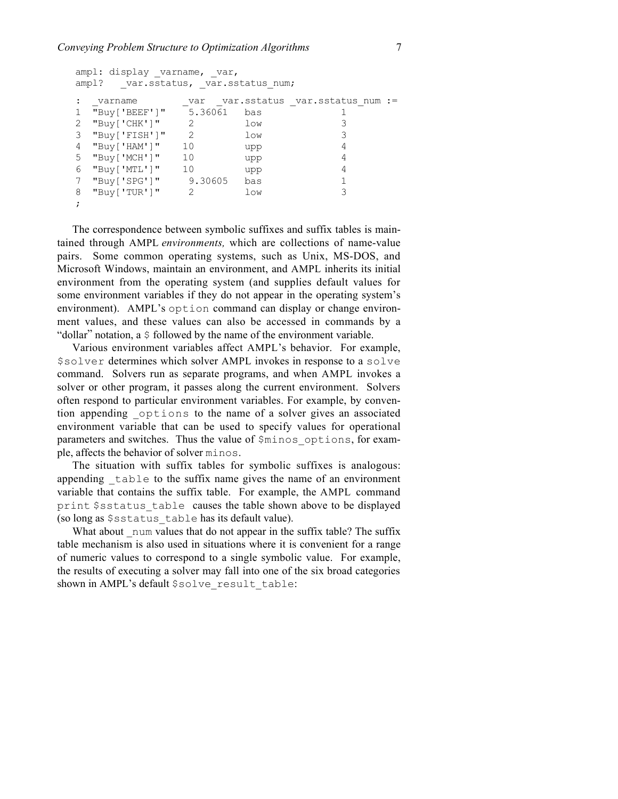```
ampl: display varname, var,
ampl? _var.sstatus, _var.sstatus_num;
: _varname _var _var.sstatus _var.sstatus_num :=
1 "Buy['BEEF']" 5.36061 bas 1
2 "Buy['CHK']" 2 low 3
3 "Buy['FISH']" 2 low 3
4 "Buy['HAM']" 10 upp 4
5 "Buy['MCH']" 10 upp 4
6 "Buy['MTL']" 10 upp 4
7 "Buy['SPG']" 9.30605 bas 1
8 "Buy['TUR']" 2 low 3
;
```
The correspondence between symbolic suffixes and suffix tables is maintained through AMPL *environments,* which are collections of name-value pairs. Some common operating systems, such as Unix, MS-DOS, and Microsoft Windows, maintain an environment, and AMPL inherits its initial environment from the operating system (and supplies default values for some environment variables if they do not appear in the operating system's environment). AMPL's option command can display or change environment values, and these values can also be accessed in commands by a "dollar" notation, a  $\frac{1}{2}$  followed by the name of the environment variable.

Various environment variables affect AMPL's behavior. For example, \$solver determines which solver AMPL invokes in response to a solve command. Solvers run as separate programs, and when AMPL invokes a solver or other program, it passes along the current environment. Solvers often respond to particular environment variables. For example, by convention appending \_options to the name of a solver gives an associated environment variable that can be used to specify values for operational parameters and switches. Thus the value of \$minos\_options, for example, affects the behavior of solver minos.

The situation with suffix tables for symbolic suffixes is analogous: appending \_table to the suffix name gives the name of an environment variable that contains the suffix table. For example, the AMPL command print \$sstatus table causes the table shown above to be displayed (so long as \$sstatus\_table has its default value).

What about num values that do not appear in the suffix table? The suffix table mechanism is also used in situations where it is convenient for a range of numeric values to correspond to a single symbolic value. For example, the results of executing a solver may fall into one of the six broad categories shown in AMPL's default \$solve result table: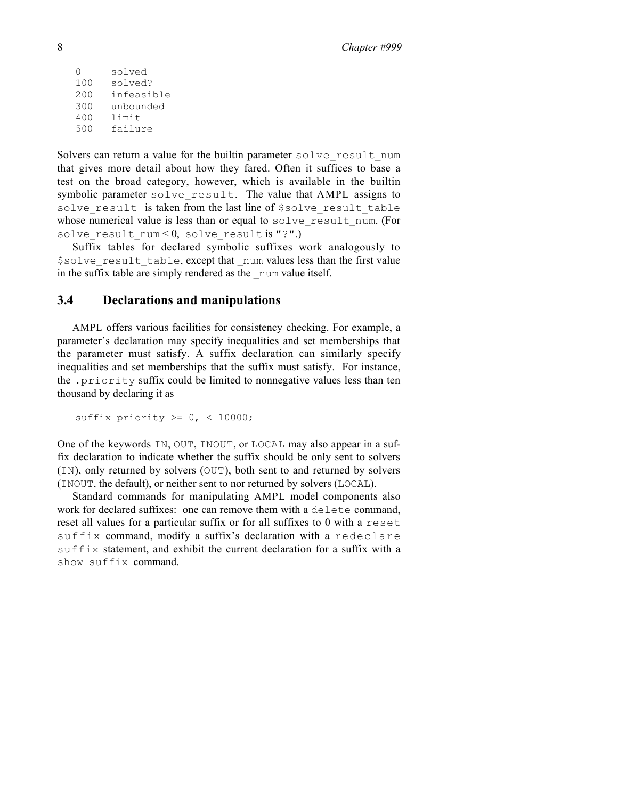| 0   | solved     |
|-----|------------|
| 100 | solved?    |
| 200 | infeasible |
| 300 | unbounded  |
| 400 | limit      |
| 500 | failure    |

Solvers can return a value for the builtin parameter solve\_result\_num that gives more detail about how they fared. Often it suffices to base a test on the broad category, however, which is available in the builtin symbolic parameter solve\_result. The value that AMPL assigns to solve result is taken from the last line of \$solve result table whose numerical value is less than or equal to solve result num. (For solve result num < 0, solve result is "?".)

Suffix tables for declared symbolic suffixes work analogously to \$solve\_result\_table, except that \_num values less than the first value in the suffix table are simply rendered as the \_num value itself.

## **3.4 Declarations and manipulations**

AMPL offers various facilities for consistency checking. For example, a parameter's declaration may specify inequalities and set memberships that the parameter must satisfy. A suffix declaration can similarly specify inequalities and set memberships that the suffix must satisfy. For instance, the .priority suffix could be limited to nonnegative values less than ten thousand by declaring it as

```
suffix priority >= 0, < 10000;
```
One of the keywords IN, OUT, INOUT, or LOCAL may also appear in a suffix declaration to indicate whether the suffix should be only sent to solvers (IN), only returned by solvers (OUT), both sent to and returned by solvers (INOUT, the default), or neither sent to nor returned by solvers (LOCAL).

Standard commands for manipulating AMPL model components also work for declared suffixes: one can remove them with a delete command, reset all values for a particular suffix or for all suffixes to 0 with a reset suffix command, modify a suffix's declaration with a redeclare  $\text{suffix statement}$  and exhibit the current declaration for a suffix with a show suffix command.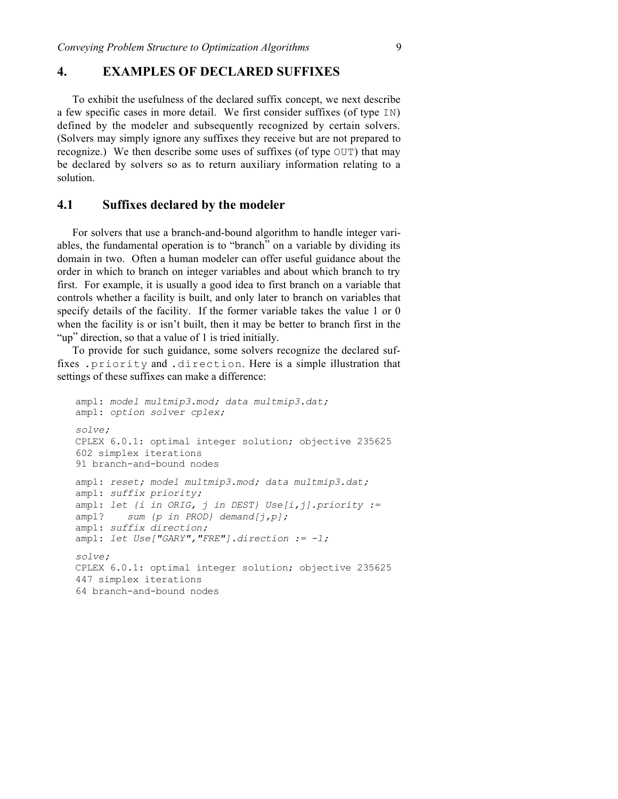## **4. EXAMPLES OF DECLARED SUFFIXES**

To exhibit the usefulness of the declared suffix concept, we next describe a few specific cases in more detail. We first consider suffixes (of type IN) defined by the modeler and subsequently recognized by certain solvers. (Solvers may simply ignore any suffixes they receive but are not prepared to recognize.) We then describe some uses of suffixes (of type OUT) that may be declared by solvers so as to return auxiliary information relating to a solution.

#### **4.1 Suffixes declared by the modeler**

For solvers that use a branch-and-bound algorithm to handle integer variables, the fundamental operation is to "branch" on a variable by dividing its domain in two. Often a human modeler can offer useful guidance about the order in which to branch on integer variables and about which branch to try first. For example, it is usually a good idea to first branch on a variable that controls whether a facility is built, and only later to branch on variables that specify details of the facility. If the former variable takes the value 1 or 0 when the facility is or isn't built, then it may be better to branch first in the "up" direction, so that a value of 1 is tried initially.

To provide for such guidance, some solvers recognize the declared suffixes .priority and .direction. Here is a simple illustration that settings of these suffixes can make a difference:

```
ampl: model multmip3.mod; data multmip3.dat;
ampl: option solver cplex;
solve;
CPLEX 6.0.1: optimal integer solution; objective 235625
602 simplex iterations
91 branch-and-bound nodes
ampl: reset; model multmip3.mod; data multmip3.dat;
ampl: suffix priority;
ampl: let {i in ORIG, j in DEST} Use[i,j].priority :=
ampl? sum {p in PROD} demand[j,p];
ampl: suffix direction;
ampl: let Use["GARY","FRE"].direction := -1;
solve;
CPLEX 6.0.1: optimal integer solution; objective 235625
447 simplex iterations
64 branch-and-bound nodes
```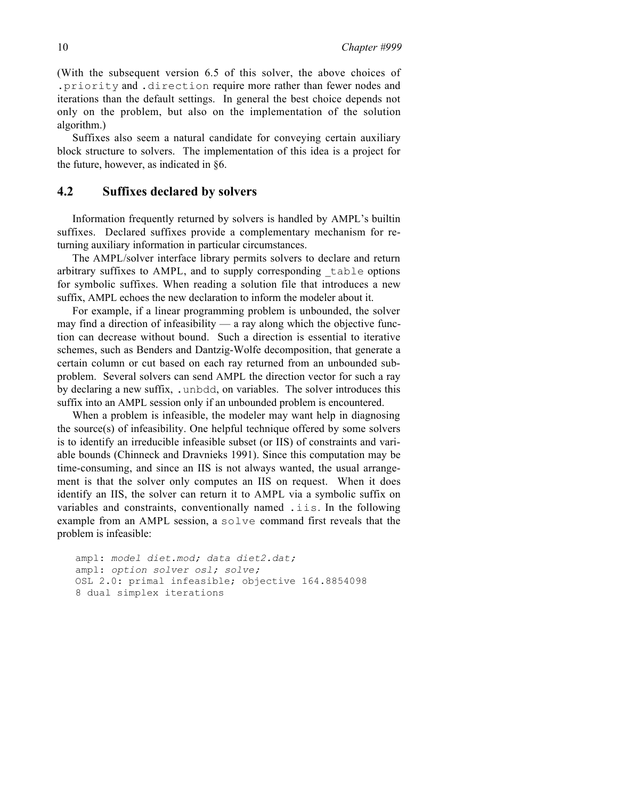(With the subsequent version 6.5 of this solver, the above choices of .priority and .direction require more rather than fewer nodes and iterations than the default settings. In general the best choice depends not only on the problem, but also on the implementation of the solution algorithm.)

Suffixes also seem a natural candidate for conveying certain auxiliary block structure to solvers. The implementation of this idea is a project for the future, however, as indicated in §6.

# **4.2 Suffixes declared by solvers**

Information frequently returned by solvers is handled by AMPL's builtin suffixes. Declared suffixes provide a complementary mechanism for returning auxiliary information in particular circumstances.

The AMPL/solver interface library permits solvers to declare and return arbitrary suffixes to AMPL, and to supply corresponding \_table options for symbolic suffixes. When reading a solution file that introduces a new suffix, AMPL echoes the new declaration to inform the modeler about it.

For example, if a linear programming problem is unbounded, the solver may find a direction of infeasibility — a ray along which the objective function can decrease without bound. Such a direction is essential to iterative schemes, such as Benders and Dantzig-Wolfe decomposition, that generate a certain column or cut based on each ray returned from an unbounded subproblem. Several solvers can send AMPL the direction vector for such a ray by declaring a new suffix, .unbdd, on variables. The solver introduces this suffix into an AMPL session only if an unbounded problem is encountered.

When a problem is infeasible, the modeler may want help in diagnosing the source(s) of infeasibility. One helpful technique offered by some solvers is to identify an irreducible infeasible subset (or IIS) of constraints and variable bounds (Chinneck and Dravnieks 1991). Since this computation may be time-consuming, and since an IIS is not always wanted, the usual arrangement is that the solver only computes an IIS on request. When it does identify an IIS, the solver can return it to AMPL via a symbolic suffix on variables and constraints, conventionally named .iis. In the following example from an AMPL session, a solve command first reveals that the problem is infeasible:

ampl: *model diet.mod; data diet2.dat;* ampl: *option solver osl; solve;* OSL 2.0: primal infeasible; objective 164.8854098 8 dual simplex iterations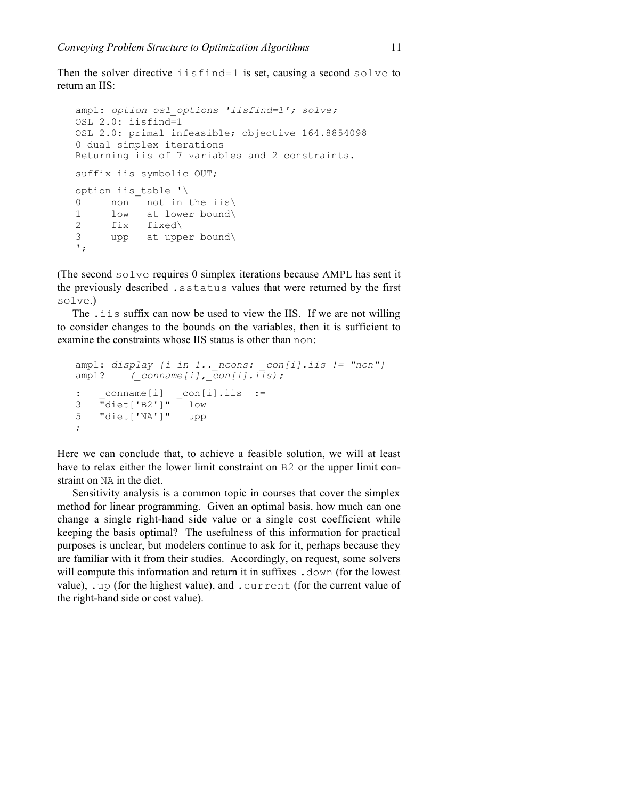Then the solver directive iisfind=1 is set, causing a second solve to return an IIS:

```
ampl: option osl_options 'iisfind=1'; solve;
OSL 2.0: iisfind=1
OSL 2.0: primal infeasible; objective 164.8854098
0 dual simplex iterations
Returning iis of 7 variables and 2 constraints.
suffix iis symbolic OUT;
option iis_table '\
0 non not in the iis\
1 low at lower bound\
2 fix fixed\
3 upp at upper bound\
';
```
(The second solve requires 0 simplex iterations because AMPL has sent it the previously described .sstatus values that were returned by the first solve.)

The .iis suffix can now be used to view the IIS. If we are not willing to consider changes to the bounds on the variables, then it is sufficient to examine the constraints whose IIS status is other than non:

```
ampl: display {i in 1.._ncons: _con[i].iis != "non"}
ampl? (_conname[i],_con[i].iis);
: conname[i] con[i].iis :=
3 \bar{ } "diet['B2']" \bar{ } low
5 "diet['NA']" upp
;
```
Here we can conclude that, to achieve a feasible solution, we will at least have to relax either the lower limit constraint on B2 or the upper limit constraint on NA in the diet.

Sensitivity analysis is a common topic in courses that cover the simplex method for linear programming. Given an optimal basis, how much can one change a single right-hand side value or a single cost coefficient while keeping the basis optimal? The usefulness of this information for practical purposes is unclear, but modelers continue to ask for it, perhaps because they are familiar with it from their studies. Accordingly, on request, some solvers will compute this information and return it in suffixes . down (for the lowest value), .up (for the highest value), and .current (for the current value of the right-hand side or cost value).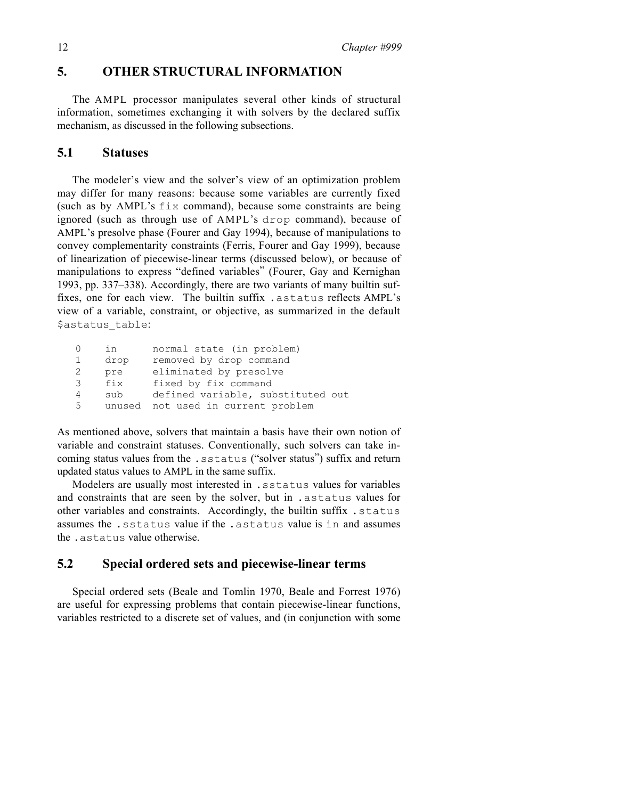# **5. OTHER STRUCTURAL INFORMATION**

The AMPL processor manipulates several other kinds of structural information, sometimes exchanging it with solvers by the declared suffix mechanism, as discussed in the following subsections.

## **5.1 Statuses**

The modeler's view and the solver's view of an optimization problem may differ for many reasons: because some variables are currently fixed (such as by AMPL's fix command), because some constraints are being ignored (such as through use of AMPL's drop command), because of AMPL's presolve phase (Fourer and Gay 1994), because of manipulations to convey complementarity constraints (Ferris, Fourer and Gay 1999), because of linearization of piecewise-linear terms (discussed below), or because of manipulations to express "defined variables" (Fourer, Gay and Kernighan 1993, pp. 337–338). Accordingly, there are two variants of many builtin suffixes, one for each view. The builtin suffix .astatus reflects AMPL's view of a variable, constraint, or objective, as summarized in the default \$astatus table:

| $\Omega$ | 1 n  | normal state (in problem)          |
|----------|------|------------------------------------|
| 1        | drop | removed by drop command            |
| 2        | pre  | eliminated by presolve             |
| 3        | fix  | fixed by fix command               |
| 4        | sub  | defined variable, substituted out  |
| 5        |      | unused not used in current problem |

As mentioned above, solvers that maintain a basis have their own notion of variable and constraint statuses. Conventionally, such solvers can take incoming status values from the .sstatus ("solver status") suffix and return updated status values to AMPL in the same suffix.

Modelers are usually most interested in .sstatus values for variables and constraints that are seen by the solver, but in .astatus values for other variables and constraints. Accordingly, the builtin suffix .status assumes the .sstatus value if the .astatus value is in and assumes the .astatus value otherwise.

# **5.2 Special ordered sets and piecewise-linear terms**

Special ordered sets (Beale and Tomlin 1970, Beale and Forrest 1976) are useful for expressing problems that contain piecewise-linear functions, variables restricted to a discrete set of values, and (in conjunction with some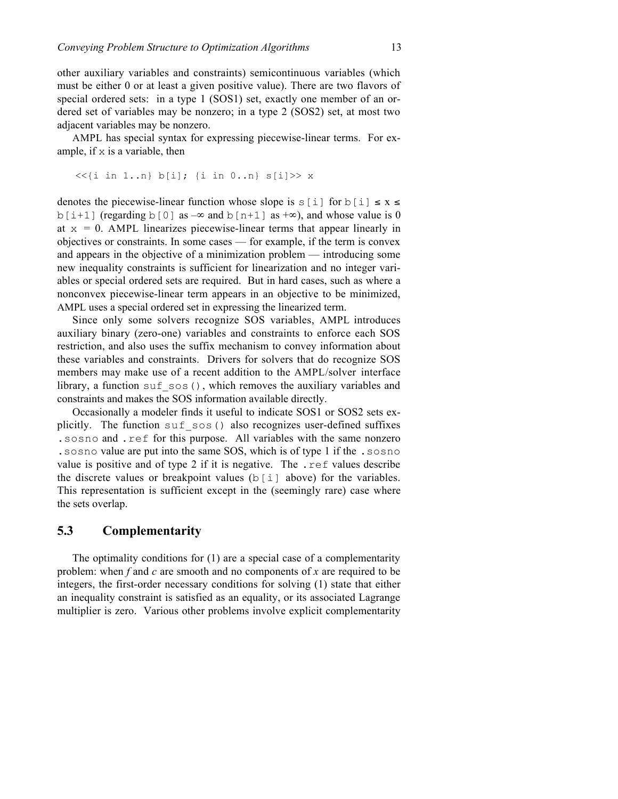AMPL has special syntax for expressing piecewise-linear terms. For example, if  $x$  is a variable, then

```
<<{i in 1..n} b[i]; {i in 0..n} s[i]>> x
```
denotes the piecewise-linear function whose slope is  $s[i]$  for  $b[i] \le x \le$ b[i+1] (regarding b[0] as  $-\infty$  and b[n+1] as  $+\infty$ ), and whose value is 0 at  $x = 0$ . AMPL linearizes piecewise-linear terms that appear linearly in objectives or constraints. In some cases — for example, if the term is convex and appears in the objective of a minimization problem — introducing some new inequality constraints is sufficient for linearization and no integer variables or special ordered sets are required. But in hard cases, such as where a nonconvex piecewise-linear term appears in an objective to be minimized, AMPL uses a special ordered set in expressing the linearized term.

Since only some solvers recognize SOS variables, AMPL introduces auxiliary binary (zero-one) variables and constraints to enforce each SOS restriction, and also uses the suffix mechanism to convey information about these variables and constraints. Drivers for solvers that do recognize SOS members may make use of a recent addition to the AMPL/solver interface library, a function suf sos(), which removes the auxiliary variables and constraints and makes the SOS information available directly.

Occasionally a modeler finds it useful to indicate SOS1 or SOS2 sets explicitly. The function suf\_sos() also recognizes user-defined suffixes .sosno and .ref for this purpose. All variables with the same nonzero .sosno value are put into the same SOS, which is of type 1 if the .sosno value is positive and of type 2 if it is negative. The .ref values describe the discrete values or breakpoint values  $(b | i]$  above) for the variables. This representation is sufficient except in the (seemingly rare) case where the sets overlap.

### **5.3 Complementarity**

The optimality conditions for (1) are a special case of a complementarity problem: when *f* and *c* are smooth and no components of *x* are required to be integers, the first-order necessary conditions for solving (1) state that either an inequality constraint is satisfied as an equality, or its associated Lagrange multiplier is zero. Various other problems involve explicit complementarity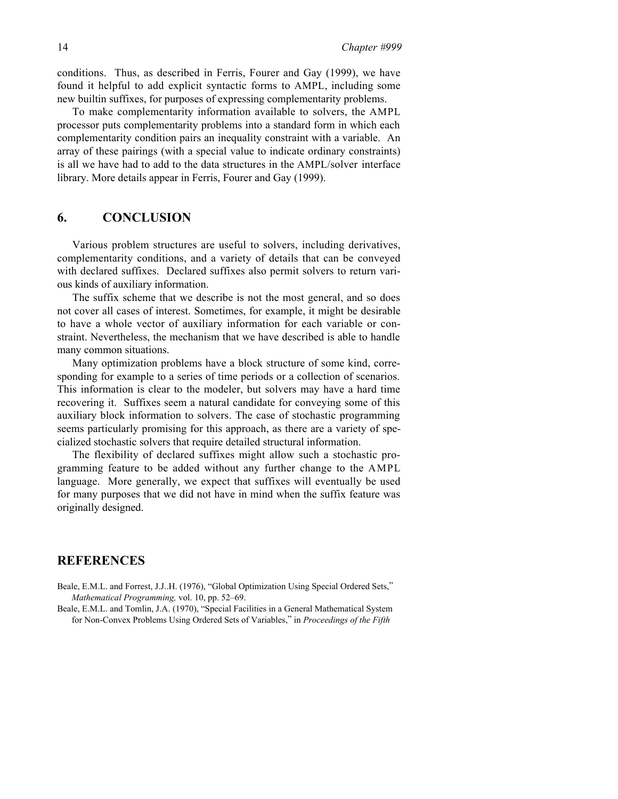conditions. Thus, as described in Ferris, Fourer and Gay (1999), we have found it helpful to add explicit syntactic forms to AMPL, including some new builtin suffixes, for purposes of expressing complementarity problems.

To make complementarity information available to solvers, the AMPL processor puts complementarity problems into a standard form in which each complementarity condition pairs an inequality constraint with a variable. An array of these pairings (with a special value to indicate ordinary constraints) is all we have had to add to the data structures in the AMPL/solver interface library. More details appear in Ferris, Fourer and Gay (1999).

# **6. CONCLUSION**

Various problem structures are useful to solvers, including derivatives, complementarity conditions, and a variety of details that can be conveyed with declared suffixes. Declared suffixes also permit solvers to return various kinds of auxiliary information.

The suffix scheme that we describe is not the most general, and so does not cover all cases of interest. Sometimes, for example, it might be desirable to have a whole vector of auxiliary information for each variable or constraint. Nevertheless, the mechanism that we have described is able to handle many common situations.

Many optimization problems have a block structure of some kind, corresponding for example to a series of time periods or a collection of scenarios. This information is clear to the modeler, but solvers may have a hard time recovering it. Suffixes seem a natural candidate for conveying some of this auxiliary block information to solvers. The case of stochastic programming seems particularly promising for this approach, as there are a variety of specialized stochastic solvers that require detailed structural information.

The flexibility of declared suffixes might allow such a stochastic programming feature to be added without any further change to the AMPL language. More generally, we expect that suffixes will eventually be used for many purposes that we did not have in mind when the suffix feature was originally designed.

# **REFERENCES**

Beale, E.M.L. and Forrest, J.J..H. (1976), "Global Optimization Using Special Ordered Sets," *Mathematical Programming,* vol. 10, pp. 52–69.

Beale, E.M.L. and Tomlin, J.A. (1970), "Special Facilities in a General Mathematical System for Non-Convex Problems Using Ordered Sets of Variables," in *Proceedings of the Fifth*